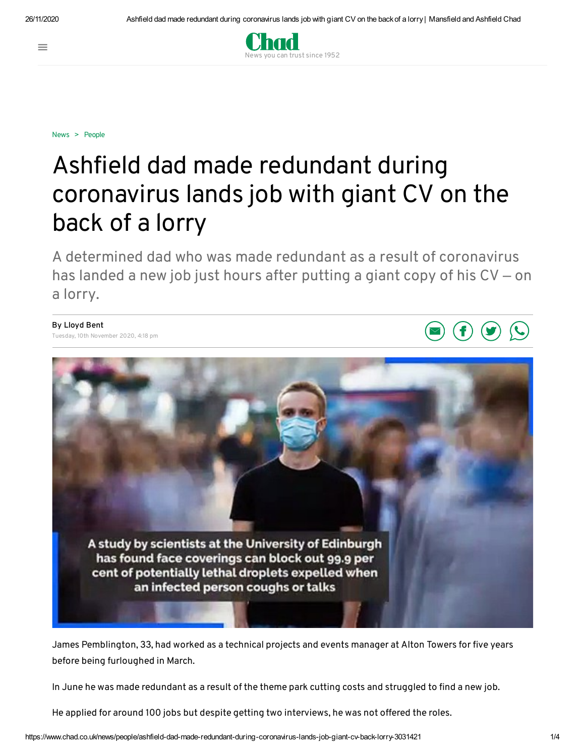$\equiv$ 



[News](https://www.chad.co.uk/news) > [People](https://www.chad.co.uk/news/people)

## Ashfield dad made redundant during coronavirus lands job with giant CV on the back of a lorry

A determined dad who was made redundant as a result of coronavirus has landed a new job just hours after putting a giant copy of his CV – on a lorry.

**By Lloyd Bent** Tuesday, 10th November 2020, 4:18 pm



James Pemblington, 33, had worked as a technical projects and events manager at Alton Towers for five years before being furloughed in March.

In June he was made redundant as a result of the theme park cutting costs and struggled to find a new job.

He applied for around 100 jobs but despite getting two interviews, he was not offered the roles.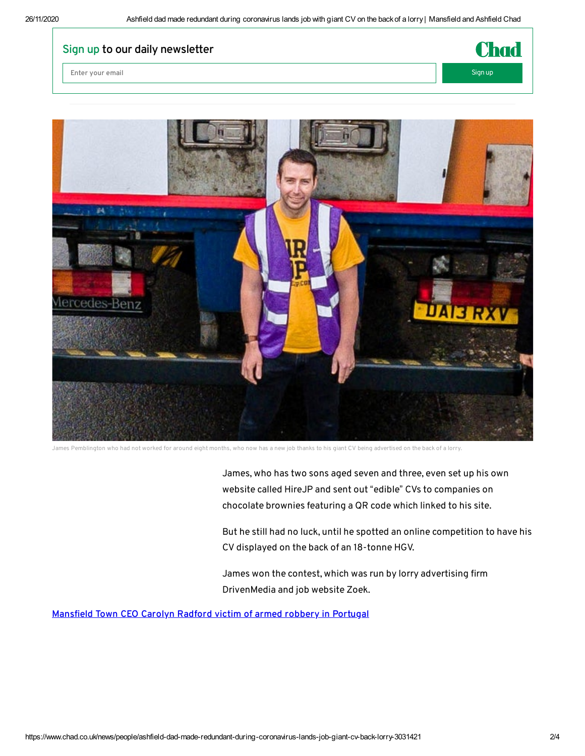## **Sign up to our daily newsletter**

**Enter** your email Signup Signup Signup Signup Signup Signup Signup Signup Signup Signup Signup Signup Signup Signup Signup Signup Signup Signup Signup Signup Signup Signup Signup Signup Signup Signup Signup Signup Signup





James Pemblington who had not worked for around eight months, who now has a new job thanks to his giant CV being advertised on the back of a lorry.

James, who has two sons aged seven and three, even set up his own website called HireJP and sent out "edible" CVs to companies on chocolate brownies featuring a QR code which linked to his site.

But he still had no luck, until he spotted an online competition to have his CV displayed on the back of an 18-tonne HGV.

James won the contest, which was run by lorry advertising firm DrivenMedia and job website Zoek.

**[Manseld](https://www.chad.co.uk/news/crime/mansfield-town-ceo-carolyn-radford-victim-armed-robbery-portugal-3031425) Town CEO Carolyn Radford victim of armed robbery in Portugal**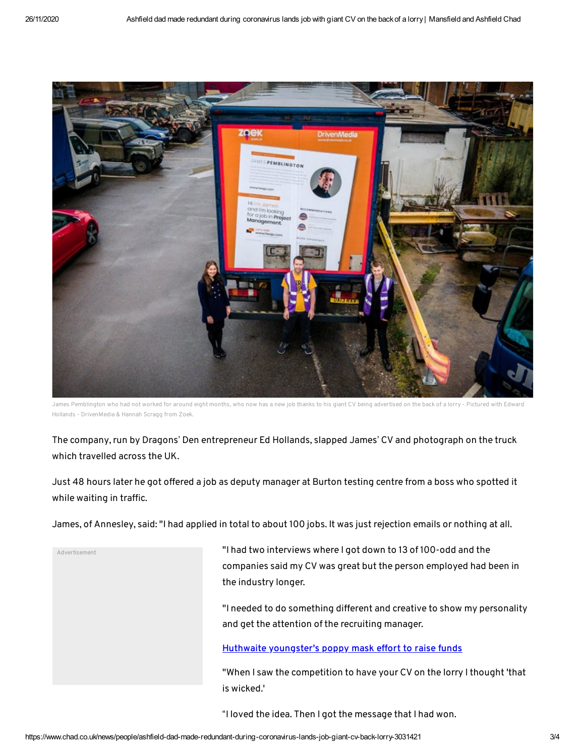

James Pemblington who had not worked for around eight months, who now has a new job thanks to his giant CV being advertised on the back of a lorry - Pictured with Edward Hollands - DrivenMedia & Hannah Scragg from Zoek.

The company, run by Dragons' Den entrepreneur Ed Hollands, slapped James' CV and photograph on the truck which travelled across the UK.

Just 48 hours later he got offered a job as deputy manager at Burton testing centre from a boss who spotted it while waiting in traffic.

James, of Annesley, said: "I had applied in total to about 100 jobs. It was just rejection emails or nothing at all.

Advertisement

"I had two interviews where I got down to 13 of 100-odd and the companies said my CV was great but the person employed had been in the industry longer.

"I needed to do something different and creative to show my personality and get the attention of the recruiting manager.

**Huthwaite [youngster's](https://www.chad.co.uk/news/people/huthwaite-youngsters-poppy-mask-effort-raise-funds-3031022) poppy mask effort to raise funds**

"When I saw the competition to have your CV on the lorry Ithought 'that is wicked.'

"I loved the idea. Then I got the message that I had won.